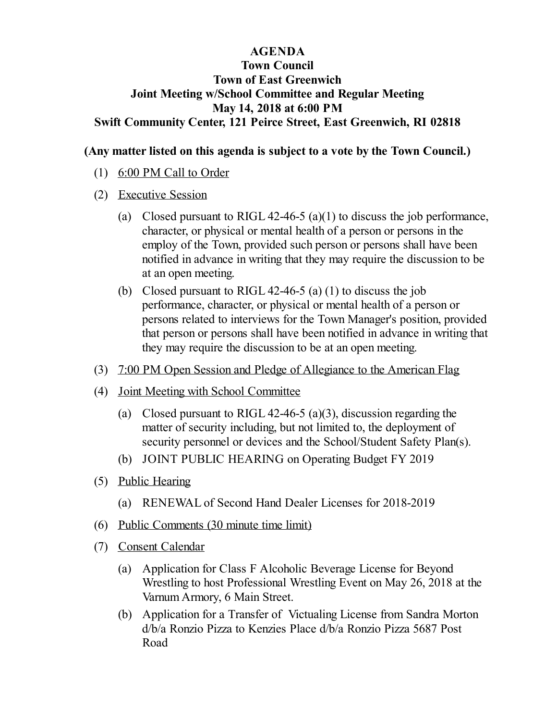#### **AGENDA**

## **Town Council Town of East Greenwich Joint Meeting w/School Committee and Regular Meeting May 14, 2018 at 6:00 PM Swift Community Center, 121 Peirce Street, East Greenwich, RI 02818**

### **(Any matter listed on this agenda is subject to a vote by the Town Council.)**

- (1) 6:00 PM Call to Order
- (2) Executive Session
	- (a) Closed pursuant to RIGL 42-46-5 (a)(1) to discuss the job performance, character, or physical or mental health of a person or persons in the employ of the Town, provided such person or persons shall have been notified in advance in writing that they may require the discussion to be at an open meeting.
	- (b) Closed pursuant to RIGL 42-46-5 (a) (1) to discuss the job performance, character, or physical or mental health of a person or persons related to interviews for the Town Manager's position, provided that person or persons shall have been notified in advance in writing that they may require the discussion to be at an open meeting.
- (3) 7:00 PM Open Session and Pledge of Allegiance to the American Flag
- (4) Joint Meeting with School Committee
	- (a) Closed pursuant to RIGL 42-46-5 (a)(3), discussion regarding the matter of security including, but not limited to, the deployment of security personnel or devices and the School/Student Safety Plan(s).
	- (b) JOINT PUBLIC [HEARING](file:///C:/Windows/TEMP/CoverSheet.aspx?ItemID=864&MeetingID=114) on Operating Budget FY 2019
- (5) Public Hearing
	- (a) RENEWAL of Second Hand Dealer Licenses for 2018-2019
- (6) Public Comments (30 minute time limit)
- (7) Consent Calendar
	- (a) Application for Class F Alcoholic Beverage License for Beyond Wrestling to host Professional Wrestling Event on May 26, 2018 at the [VarnumArmory,](file:///C:/Windows/TEMP/CoverSheet.aspx?ItemID=896&MeetingID=114) 6 Main Street.
	- (b) Application for a Transfer of Victualing License from Sandra Morton d/b/a Ronzio Pizza to Kenzies Place d/b/a Ronzio Pizza 5687 Post Road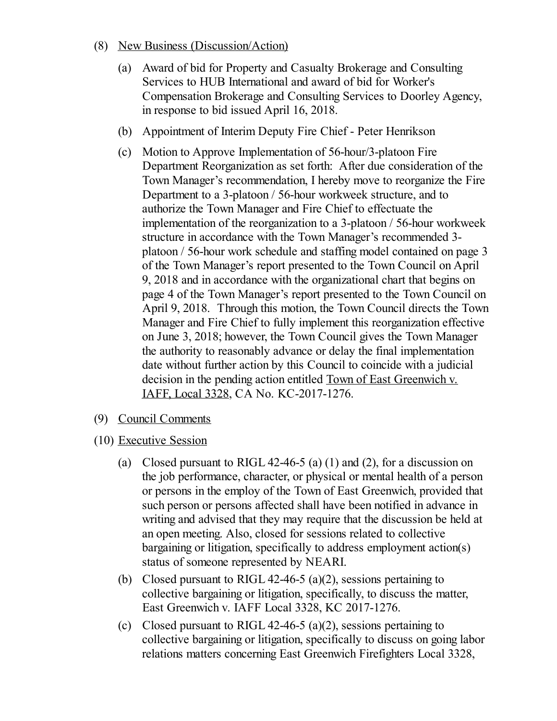- (8) New Business (Discussion/Action)
	- (a) Award of bid for Property and Casualty Brokerage and Consulting Services to HUB International and award of bid for Worker's [Compensation](file:///C:/Windows/TEMP/CoverSheet.aspx?ItemID=891&MeetingID=114) Brokerage and Consulting Services to Doorley Agency, in response to bid issued April 16, 2018.
	- (b) [Appointment](file:///C:/Windows/TEMP/CoverSheet.aspx?ItemID=898&MeetingID=114) of Interim Deputy Fire Chief Peter Henrikson
	- (c) Motion to Approve Implementation of 56-hour/3-platoon Fire Department Reorganization as set forth: After due consideration of the Town Manager's recommendation, I hereby move to reorganize the Fire Department to a 3-platoon / 56-hour workweek structure, and to authorize the Town Manager and Fire Chief to effectuate the implementation of the reorganization to a 3-platoon / 56-hour workweek structure in accordance with the Town Manager's recommended 3 platoon / 56-hour work schedule and staffing model contained on page 3 of the Town Manager's report presented to the Town Council on April 9, 2018 and in accordance with the organizational chart that begins on page 4 of the Town Manager's report presented to the Town Council on April 9, 2018. Through this motion, the Town Council directs the Town Manager and Fire Chief to fully implement this reorganization effective on June 3, 2018; however, the Town Council gives the Town Manager the authority to reasonably advance or delay the final implementation date without further action by this Council to coincide with a judicial decision in the pending action entitled Town of East Greenwich v. IAFF, Local 3328, CA No. KC-2017-1276.
- (9) Council Comments
- (10) Executive Session
	- (a) Closed pursuant to RIGL 42-46-5 (a) (1) and (2), for a discussion on the job performance, character, or physical or mental health of a person or persons in the employ of the Town of East Greenwich, provided that such person or persons affected shall have been notified in advance in writing and advised that they may require that the discussion be held at an open meeting. Also, closed for sessions related to collective bargaining or litigation, specifically to address employment action(s) status of someone represented by NEARI.
	- (b) Closed pursuant to RIGL 42-46-5 (a)(2), sessions pertaining to collective bargaining or litigation, specifically, to discuss the matter, East Greenwich v. IAFF Local 3328, KC 2017-1276.
	- (c) Closed pursuant to RIGL 42-46-5 (a)(2), sessions pertaining to collective bargaining or litigation, specifically to discuss on going labor relations matters concerning East Greenwich Firefighters Local 3328,